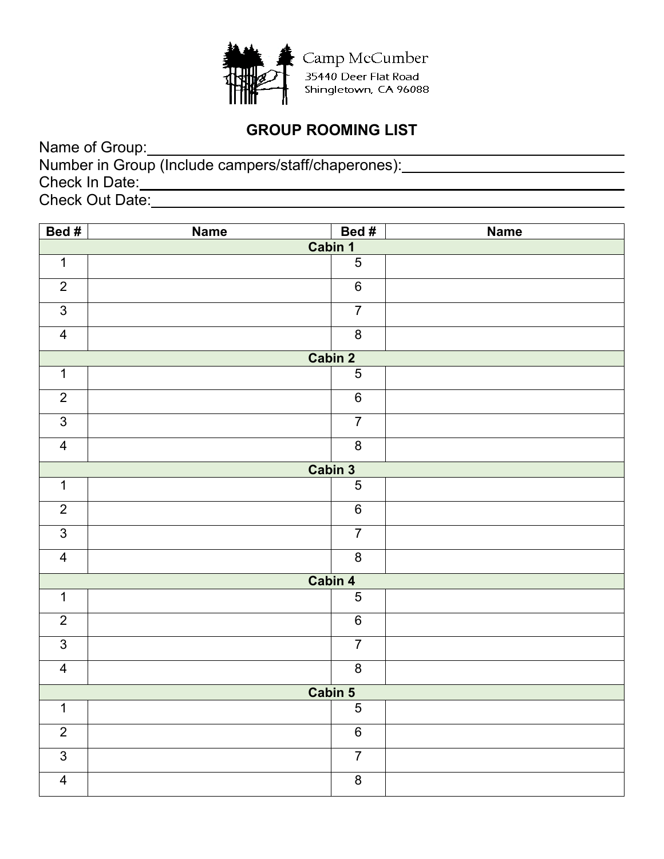

## **GROUP ROOMING LIST**

| Name of Group:                                      |  |
|-----------------------------------------------------|--|
| Number in Group (Include campers/staff/chaperones): |  |
| Check In Date:                                      |  |
| <b>Check Out Date:</b>                              |  |

| Bed #                   | <b>Name</b> | Bed#           | <b>Name</b> |  |
|-------------------------|-------------|----------------|-------------|--|
|                         | Cabin 1     |                |             |  |
| $\overline{1}$          |             | $\overline{5}$ |             |  |
| $\overline{2}$          |             | $\,6\,$        |             |  |
| $\overline{3}$          |             | $\overline{7}$ |             |  |
| $\overline{4}$          |             | $\bf 8$        |             |  |
|                         | Cabin 2     |                |             |  |
| $\mathbf 1$             |             | $\overline{5}$ |             |  |
| $\overline{2}$          |             | $\overline{6}$ |             |  |
| $\overline{3}$          |             | $\overline{7}$ |             |  |
| $\overline{\mathbf{4}}$ |             | $\bf 8$        |             |  |
|                         |             | Cabin 3        |             |  |
| $\mathbf{1}$            |             | $\overline{5}$ |             |  |
| $\overline{2}$          |             | $\overline{6}$ |             |  |
| $\overline{3}$          |             | $\overline{7}$ |             |  |
| $\overline{\mathbf{4}}$ |             | $\infty$       |             |  |
|                         |             | Cabin 4        |             |  |
| $\mathbf 1$             |             | $\overline{5}$ |             |  |
| $\overline{2}$          |             | $\overline{6}$ |             |  |
| $\overline{3}$          |             | $\overline{7}$ |             |  |
| $\overline{\mathbf{4}}$ |             | $\bf 8$        |             |  |
| Cabin 5                 |             |                |             |  |
| $\overline{1}$          |             | $\overline{5}$ |             |  |
| $\overline{2}$          |             | $6\phantom{a}$ |             |  |
| $\overline{3}$          |             | $\overline{7}$ |             |  |
| $\overline{4}$          |             | $\overline{8}$ |             |  |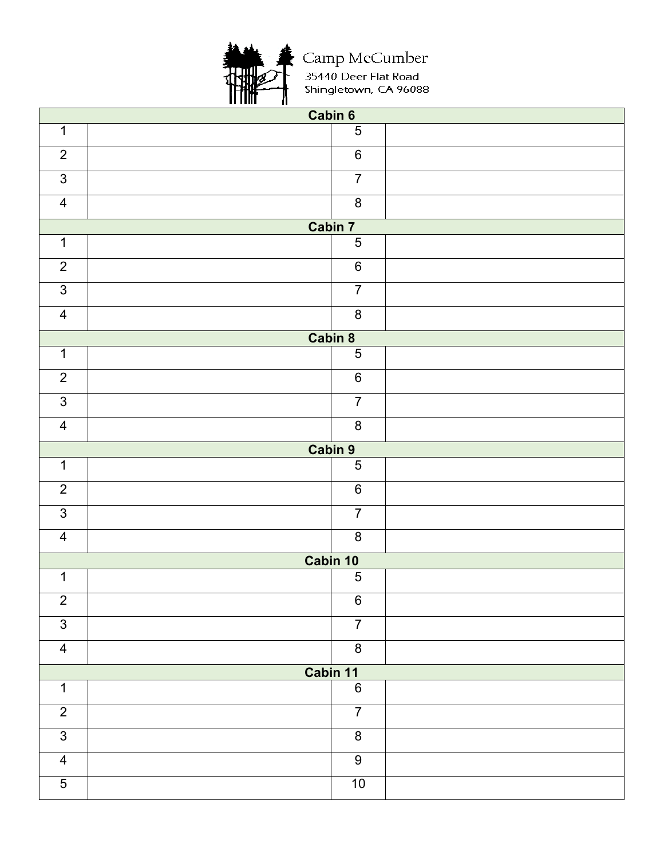

Camp McCumber<br>35440 Deer Flat Road<br>Shingletown, CA 96088

|                | Cabin 6  |                |  |  |
|----------------|----------|----------------|--|--|
| $\mathbf 1$    |          | $\overline{5}$ |  |  |
| $\overline{2}$ |          | $\,6\,$        |  |  |
| $\mathfrak{S}$ |          | $\overline{7}$ |  |  |
| $\overline{4}$ |          | $\overline{8}$ |  |  |
|                | Cabin 7  |                |  |  |
| $\overline{1}$ |          | $\overline{5}$ |  |  |
| $\overline{2}$ |          | $\overline{6}$ |  |  |
| $\overline{3}$ |          | $\overline{7}$ |  |  |
| $\overline{4}$ |          | $\bf 8$        |  |  |
|                | Cabin 8  |                |  |  |
| $\overline{1}$ |          | $\overline{5}$ |  |  |
| $\overline{2}$ |          | $\,6\,$        |  |  |
| $\overline{3}$ |          | $\overline{7}$ |  |  |
| $\overline{4}$ |          | $\overline{8}$ |  |  |
|                | Cabin 9  |                |  |  |
| $\mathbf 1$    |          | $\overline{5}$ |  |  |
| $\overline{2}$ |          | $\,6\,$        |  |  |
| $\overline{3}$ |          | $\overline{7}$ |  |  |
| $\overline{4}$ |          | $\bf 8$        |  |  |
|                | Cabin 10 |                |  |  |
| $\mathbf 1$    |          | $\overline{5}$ |  |  |
| $\overline{2}$ |          | $\,6\,$        |  |  |
| $\overline{3}$ |          | $\overline{7}$ |  |  |
| $\overline{4}$ |          | $\overline{8}$ |  |  |
| Cabin 11       |          |                |  |  |
| $\mathbf 1$    |          | $\,6\,$        |  |  |
| $\overline{2}$ |          | $\overline{7}$ |  |  |
| $\overline{3}$ |          | $\bf 8$        |  |  |
| $\overline{4}$ |          | $\overline{9}$ |  |  |
| $\overline{5}$ |          | $10\,$         |  |  |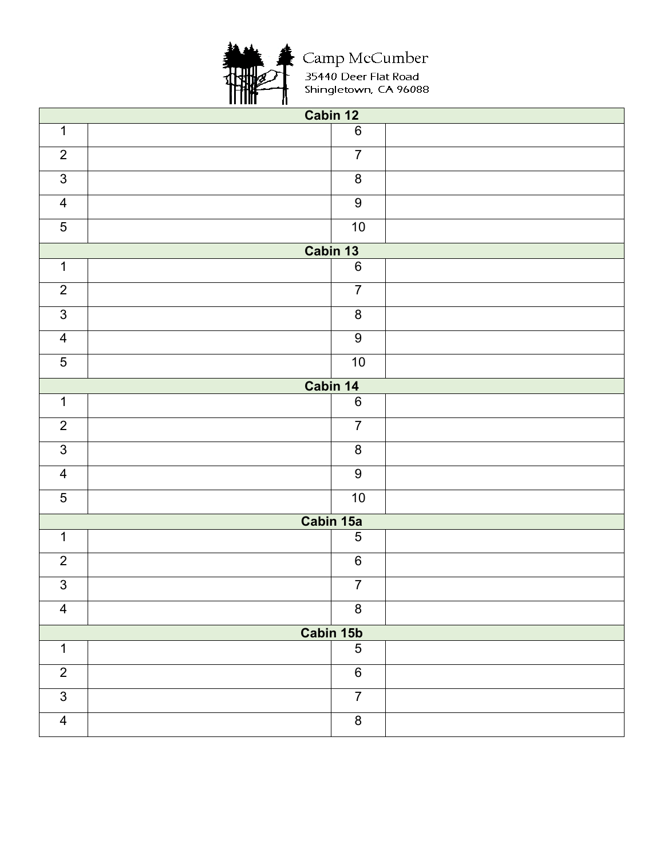

Camp McCumber<br>35440 Deer Flat Road<br>Shingletown, CA 96088

| Cabin 12                |                  |  |  |
|-------------------------|------------------|--|--|
| $\mathbf 1$             | $\overline{6}$   |  |  |
| $\overline{2}$          | $\overline{7}$   |  |  |
| $\sqrt{3}$              | $\bf 8$          |  |  |
| $\overline{4}$          | $\overline{9}$   |  |  |
| $\overline{5}$          | 10               |  |  |
|                         | Cabin 13         |  |  |
| $\mathbf 1$             | $\overline{6}$   |  |  |
| $\overline{2}$          | $\overline{7}$   |  |  |
| $\overline{3}$          | $\bf 8$          |  |  |
| $\overline{4}$          | $\boldsymbol{9}$ |  |  |
| $\overline{5}$          | $10$             |  |  |
|                         | Cabin 14         |  |  |
| $\mathbf 1$             | $\,6\,$          |  |  |
| $\overline{2}$          | $\overline{7}$   |  |  |
| $\overline{3}$          | $\bf 8$          |  |  |
| $\overline{4}$          | $\overline{9}$   |  |  |
| $\overline{5}$          | $10$             |  |  |
|                         | Cabin 15a        |  |  |
| $\mathbf{1}$            | $\overline{5}$   |  |  |
| $\overline{2}$          | $\,6$            |  |  |
| $\overline{3}$          | $\overline{7}$   |  |  |
| $\overline{4}$          | $\bf 8$          |  |  |
| Cabin 15b               |                  |  |  |
| $\mathbf 1$             | $\overline{5}$   |  |  |
| $\overline{2}$          | $\overline{6}$   |  |  |
| $\overline{3}$          | $\overline{7}$   |  |  |
| $\overline{\mathbf{4}}$ | $\bf 8$          |  |  |